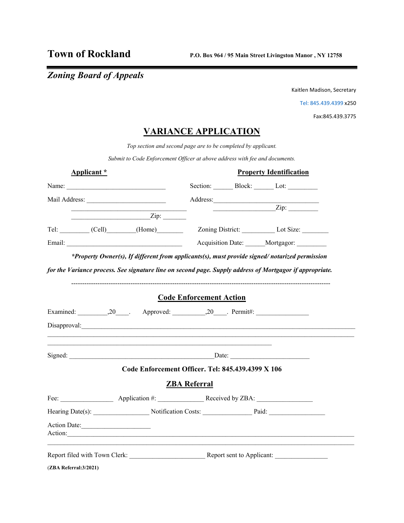# *Zoning Board of Appeals*

Kaitlen Madison, Secretary

[Tel: 845.439.4399 x](Tel:845.439.4399)250

Fax:845.439.3775

## **VARIANCE APPLICATION**

*Top section and second page are to be completed by applicant.*

*Submit to Code Enforcement Officer at above address with fee and documents.* 

| Applicant *                                                                                                                                                                                                                                                                                                                                                                                                   |                                                                                                                                                                                                                                                                                                                                                                                                                                                                                 | <b>Property Identification</b> |  |                                                                                                                                                                                                                                |  |
|---------------------------------------------------------------------------------------------------------------------------------------------------------------------------------------------------------------------------------------------------------------------------------------------------------------------------------------------------------------------------------------------------------------|---------------------------------------------------------------------------------------------------------------------------------------------------------------------------------------------------------------------------------------------------------------------------------------------------------------------------------------------------------------------------------------------------------------------------------------------------------------------------------|--------------------------------|--|--------------------------------------------------------------------------------------------------------------------------------------------------------------------------------------------------------------------------------|--|
| Name: $\frac{1}{\sqrt{1-\frac{1}{2}}\sqrt{1-\frac{1}{2}}\sqrt{1-\frac{1}{2}}\sqrt{1-\frac{1}{2}}\sqrt{1-\frac{1}{2}}\sqrt{1-\frac{1}{2}}\sqrt{1-\frac{1}{2}}\sqrt{1-\frac{1}{2}}\sqrt{1-\frac{1}{2}}\sqrt{1-\frac{1}{2}}\sqrt{1-\frac{1}{2}}\sqrt{1-\frac{1}{2}}\sqrt{1-\frac{1}{2}}\sqrt{1-\frac{1}{2}}\sqrt{1-\frac{1}{2}}\sqrt{1-\frac{1}{2}}\sqrt{1-\frac{1}{2}}\sqrt{1-\frac{1}{2}}\sqrt{1-\frac{1}{2}}$ |                                                                                                                                                                                                                                                                                                                                                                                                                                                                                 |                                |  | Section: Block: Lot:                                                                                                                                                                                                           |  |
|                                                                                                                                                                                                                                                                                                                                                                                                               |                                                                                                                                                                                                                                                                                                                                                                                                                                                                                 |                                |  |                                                                                                                                                                                                                                |  |
|                                                                                                                                                                                                                                                                                                                                                                                                               | $\overline{\phantom{a}}$ $\overline{\phantom{a}}$ $\overline{\phantom{a}}$ $\overline{\phantom{a}}$ $\overline{\phantom{a}}$ $\overline{\phantom{a}}$ $\overline{\phantom{a}}$ $\overline{\phantom{a}}$ $\overline{\phantom{a}}$ $\overline{\phantom{a}}$ $\overline{\phantom{a}}$ $\overline{\phantom{a}}$ $\overline{\phantom{a}}$ $\overline{\phantom{a}}$ $\overline{\phantom{a}}$ $\overline{\phantom{a}}$ $\overline{\phantom{a}}$ $\overline{\phantom{a}}$ $\overline{\$ |                                |  | $\overline{Zip}$ :                                                                                                                                                                                                             |  |
|                                                                                                                                                                                                                                                                                                                                                                                                               | Tel: (Cell) (Home)                                                                                                                                                                                                                                                                                                                                                                                                                                                              |                                |  | Zoning District: Lot Size:                                                                                                                                                                                                     |  |
|                                                                                                                                                                                                                                                                                                                                                                                                               |                                                                                                                                                                                                                                                                                                                                                                                                                                                                                 |                                |  | Acquisition Date: Mortgagor:                                                                                                                                                                                                   |  |
|                                                                                                                                                                                                                                                                                                                                                                                                               | <b>Code Enforcement Action</b>                                                                                                                                                                                                                                                                                                                                                                                                                                                  |                                |  | for the Variance process. See signature line on second page. Supply address of Mortgagor if appropriate.                                                                                                                       |  |
|                                                                                                                                                                                                                                                                                                                                                                                                               | Examined: 20 . Approved: 20 . Permit#:                                                                                                                                                                                                                                                                                                                                                                                                                                          |                                |  |                                                                                                                                                                                                                                |  |
|                                                                                                                                                                                                                                                                                                                                                                                                               | Disapproval:                                                                                                                                                                                                                                                                                                                                                                                                                                                                    |                                |  |                                                                                                                                                                                                                                |  |
|                                                                                                                                                                                                                                                                                                                                                                                                               |                                                                                                                                                                                                                                                                                                                                                                                                                                                                                 |                                |  |                                                                                                                                                                                                                                |  |
|                                                                                                                                                                                                                                                                                                                                                                                                               | Code Enforcement Officer. Tel: 845.439.4399 X 106                                                                                                                                                                                                                                                                                                                                                                                                                               |                                |  |                                                                                                                                                                                                                                |  |
|                                                                                                                                                                                                                                                                                                                                                                                                               | <b>ZBA Referral</b>                                                                                                                                                                                                                                                                                                                                                                                                                                                             |                                |  |                                                                                                                                                                                                                                |  |
|                                                                                                                                                                                                                                                                                                                                                                                                               |                                                                                                                                                                                                                                                                                                                                                                                                                                                                                 |                                |  |                                                                                                                                                                                                                                |  |
|                                                                                                                                                                                                                                                                                                                                                                                                               |                                                                                                                                                                                                                                                                                                                                                                                                                                                                                 |                                |  | Hearing Date(s): Notification Costs: Paid: Paid:                                                                                                                                                                               |  |
| Action Date:                                                                                                                                                                                                                                                                                                                                                                                                  |                                                                                                                                                                                                                                                                                                                                                                                                                                                                                 |                                |  | Action: New York Contract to the Contract of the Contract of the Contract of the Contract of the Contract of the Contract of the Contract of the Contract of the Contract of the Contract of the Contract of the Contract of t |  |
|                                                                                                                                                                                                                                                                                                                                                                                                               |                                                                                                                                                                                                                                                                                                                                                                                                                                                                                 |                                |  |                                                                                                                                                                                                                                |  |
| (ZBA Referral:3/2021)                                                                                                                                                                                                                                                                                                                                                                                         |                                                                                                                                                                                                                                                                                                                                                                                                                                                                                 |                                |  |                                                                                                                                                                                                                                |  |